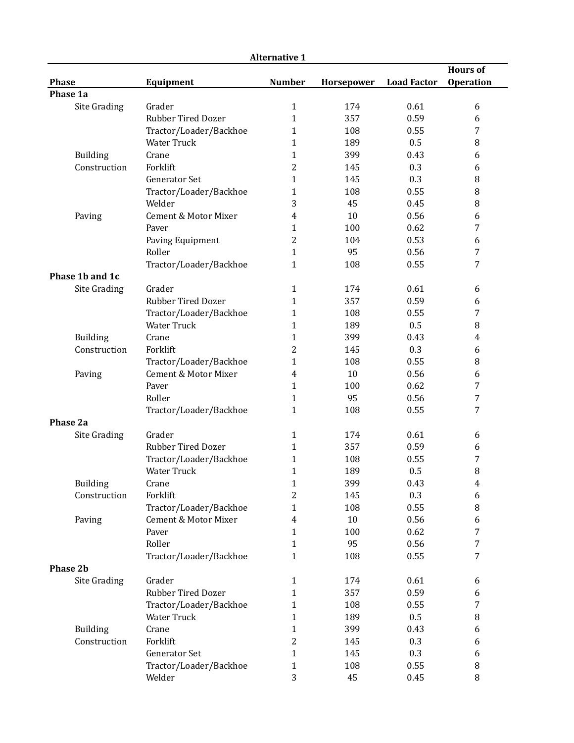| <b>Alternative 1</b> |                        |                |            |                    |                  |  |
|----------------------|------------------------|----------------|------------|--------------------|------------------|--|
|                      |                        |                |            |                    | <b>Hours of</b>  |  |
| <b>Phase</b>         | Equipment              | <b>Number</b>  | Horsepower | <b>Load Factor</b> | <b>Operation</b> |  |
| Phase 1a             |                        |                |            |                    |                  |  |
| Site Grading         | Grader                 | $\mathbf{1}$   | 174        | 0.61               | 6                |  |
|                      | Rubber Tired Dozer     | $\mathbf{1}$   | 357        | 0.59               | 6                |  |
|                      | Tractor/Loader/Backhoe | $\mathbf{1}$   | 108        | 0.55               | 7                |  |
|                      | <b>Water Truck</b>     | $\mathbf{1}$   | 189        | 0.5                | 8                |  |
| Building             | Crane                  | $\mathbf{1}$   | 399        | 0.43               | 6                |  |
| Construction         | Forklift               | $\overline{c}$ | 145        | 0.3                | 6                |  |
|                      | <b>Generator Set</b>   | $\mathbf{1}$   | 145        | 0.3                | 8                |  |
|                      | Tractor/Loader/Backhoe | $\mathbf{1}$   | 108        | 0.55               | $\, 8$           |  |
|                      | Welder                 | 3              | 45         | 0.45               | 8                |  |
| Paving               | Cement & Motor Mixer   | 4              | 10         | 0.56               | 6                |  |
|                      | Paver                  | $\mathbf{1}$   | 100        | 0.62               | 7                |  |
|                      | Paving Equipment       | $\overline{c}$ | 104        | 0.53               | 6                |  |
|                      | Roller                 | $\mathbf{1}$   | 95         | 0.56               | 7                |  |
|                      | Tractor/Loader/Backhoe | $\mathbf{1}$   | 108        | 0.55               | 7                |  |
| Phase 1b and 1c      |                        |                |            |                    |                  |  |
| Site Grading         | Grader                 | 1              | 174        | 0.61               | 6                |  |
|                      | Rubber Tired Dozer     | $\mathbf{1}$   | 357        | 0.59               | 6                |  |
|                      | Tractor/Loader/Backhoe | $\mathbf{1}$   | 108        | 0.55               | 7                |  |
|                      | <b>Water Truck</b>     | $\mathbf{1}$   | 189        | 0.5                | 8                |  |
| Building             | Crane                  | $\mathbf{1}$   | 399        | 0.43               | 4                |  |
| Construction         | Forklift               | $\overline{c}$ | 145        | 0.3                | 6                |  |
|                      | Tractor/Loader/Backhoe | $\mathbf{1}$   | 108        | 0.55               | 8                |  |
| Paving               | Cement & Motor Mixer   | 4              | 10         | 0.56               | 6                |  |
|                      | Paver                  | $\mathbf{1}$   | 100        | 0.62               | 7                |  |
|                      | Roller                 | $\mathbf{1}$   | 95         | 0.56               | 7                |  |
|                      | Tractor/Loader/Backhoe | $\mathbf{1}$   | 108        | 0.55               | 7                |  |
| Phase 2a             |                        |                |            |                    |                  |  |
| Site Grading         | Grader                 | $\mathbf{1}$   | 174        | 0.61               | 6                |  |
|                      | Rubber Tired Dozer     | $\mathbf{1}$   | 357        | 0.59               | 6                |  |
|                      | Tractor/Loader/Backhoe | 1              | 108        | 0.55               | 7                |  |
|                      | Water Truck            | $\mathbf{1}$   | 189        | 0.5                | 8                |  |
| Building             | Crane                  | $\mathbf{1}$   | 399        | 0.43               | 4                |  |
| Construction         | Forklift               | $\overline{2}$ | 145        | 0.3                | 6                |  |
|                      | Tractor/Loader/Backhoe | $\mathbf{1}$   | 108        | 0.55               | 8                |  |
| Paving               | Cement & Motor Mixer   | $\overline{4}$ | $10\,$     | 0.56               | 6                |  |
|                      | Paver                  | $\mathbf{1}$   | 100        | 0.62               | $\overline{7}$   |  |
|                      | Roller                 | $\mathbf{1}$   | 95         | 0.56               | 7                |  |
|                      | Tractor/Loader/Backhoe | $\mathbf{1}$   | 108        | 0.55               | 7                |  |
| Phase 2b             |                        |                |            |                    |                  |  |
| Site Grading         | Grader                 | $\mathbf{1}$   | 174        | 0.61               | 6                |  |
|                      | Rubber Tired Dozer     | $\mathbf{1}$   | 357        | 0.59               | 6                |  |
|                      | Tractor/Loader/Backhoe | $\mathbf{1}$   | 108        | 0.55               | 7                |  |
|                      | Water Truck            | $\mathbf{1}$   | 189        | 0.5                | $\, 8$           |  |
| Building             | Crane                  | $\mathbf{1}$   | 399        | 0.43               | 6                |  |
| Construction         | Forklift               | $\overline{2}$ | 145        | 0.3                | 6                |  |
|                      | Generator Set          | $\mathbf{1}$   | 145        | 0.3                | 6                |  |
|                      | Tractor/Loader/Backhoe | $\mathbf{1}$   | 108        | 0.55               | $\, 8$           |  |
|                      | Welder                 | 3              | 45         | 0.45               | 8                |  |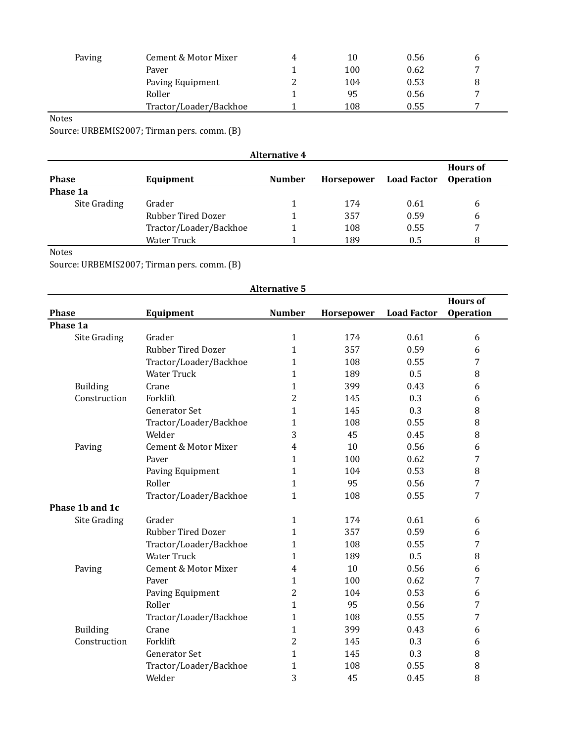| Paving | Cement & Motor Mixer   | $\mathbf{A}$ | 10  | 0.56 |   |
|--------|------------------------|--------------|-----|------|---|
|        | Paver                  |              | 100 | 0.62 | ⇁ |
|        | Paving Equipment       |              | 104 | 0.53 |   |
|        | Roller                 |              | 95  | 0.56 |   |
|        | Tractor/Loader/Backhoe |              | 108 | 0.55 | 7 |

## Notes

Source: URBEMIS2007; Tirman pers. comm. (B)

| <b>Alternative 4</b> |                        |               |                   |                    |                                     |  |
|----------------------|------------------------|---------------|-------------------|--------------------|-------------------------------------|--|
| <b>Phase</b>         | Equipment              | <b>Number</b> | <b>Horsepower</b> | <b>Load Factor</b> | <b>Hours of</b><br><b>Operation</b> |  |
| Phase 1a             |                        |               |                   |                    |                                     |  |
| Site Grading         | Grader                 |               | 174               | 0.61               | 6                                   |  |
|                      | Rubber Tired Dozer     |               | 357               | 0.59               | 6                                   |  |
|                      | Tractor/Loader/Backhoe |               | 108               | 0.55               | 7                                   |  |
|                      | <b>Water Truck</b>     |               | 189               | 0.5                | 8                                   |  |

Notes

Source: URBEMIS2007; Tirman pers. comm. (B)

|                     |                           | <b>Alternative 5</b> |            |                    |                  |
|---------------------|---------------------------|----------------------|------------|--------------------|------------------|
|                     |                           |                      |            |                    | <b>Hours of</b>  |
| <b>Phase</b>        | Equipment                 | <b>Number</b>        | Horsepower | <b>Load Factor</b> | <b>Operation</b> |
| Phase 1a            |                           |                      |            |                    |                  |
| <b>Site Grading</b> | Grader                    | $\mathbf{1}$         | 174        | 0.61               | 6                |
|                     | <b>Rubber Tired Dozer</b> | $\mathbf{1}$         | 357        | 0.59               | 6                |
|                     | Tractor/Loader/Backhoe    | $\mathbf{1}$         | 108        | 0.55               | 7                |
|                     | <b>Water Truck</b>        | 1                    | 189        | 0.5                | 8                |
| <b>Building</b>     | Crane                     | $\mathbf{1}$         | 399        | 0.43               | 6                |
| Construction        | Forklift                  | 2                    | 145        | 0.3                | 6                |
|                     | <b>Generator Set</b>      | $\mathbf{1}$         | 145        | 0.3                | 8                |
|                     | Tractor/Loader/Backhoe    | $\mathbf{1}$         | 108        | 0.55               | 8                |
|                     | Welder                    | 3                    | 45         | 0.45               | 8                |
| Paving              | Cement & Motor Mixer      | $\overline{4}$       | 10         | 0.56               | 6                |
|                     | Paver                     | $\mathbf{1}$         | 100        | 0.62               | 7                |
|                     | Paving Equipment          | $\mathbf{1}$         | 104        | 0.53               | 8                |
|                     | Roller                    | $\mathbf{1}$         | 95         | 0.56               | 7                |
|                     | Tractor/Loader/Backhoe    | $\mathbf{1}$         | 108        | 0.55               | 7                |
| Phase 1b and 1c     |                           |                      |            |                    |                  |
| Site Grading        | Grader                    | $\mathbf{1}$         | 174        | 0.61               | 6                |
|                     | <b>Rubber Tired Dozer</b> | $\mathbf{1}$         | 357        | 0.59               | 6                |
|                     | Tractor/Loader/Backhoe    | $\mathbf{1}$         | 108        | 0.55               | 7                |
|                     | <b>Water Truck</b>        | $\mathbf{1}$         | 189        | 0.5                | 8                |
| Paving              | Cement & Motor Mixer      | $\overline{4}$       | 10         | 0.56               | 6                |
|                     | Paver                     | $\mathbf{1}$         | 100        | 0.62               | 7                |
|                     | Paving Equipment          | $\overline{c}$       | 104        | 0.53               | 6                |
|                     | Roller                    | $\mathbf{1}$         | 95         | 0.56               | 7                |
|                     | Tractor/Loader/Backhoe    | $\mathbf{1}$         | 108        | 0.55               | 7                |
| <b>Building</b>     | Crane                     | $\mathbf{1}$         | 399        | 0.43               | 6                |
| Construction        | Forklift                  | $\overline{2}$       | 145        | 0.3                | 6                |
|                     | <b>Generator Set</b>      | $\mathbf{1}$         | 145        | 0.3                | 8                |
|                     | Tractor/Loader/Backhoe    | $\mathbf{1}$         | 108        | 0.55               | 8                |
|                     | Welder                    | 3                    | 45         | 0.45               | 8                |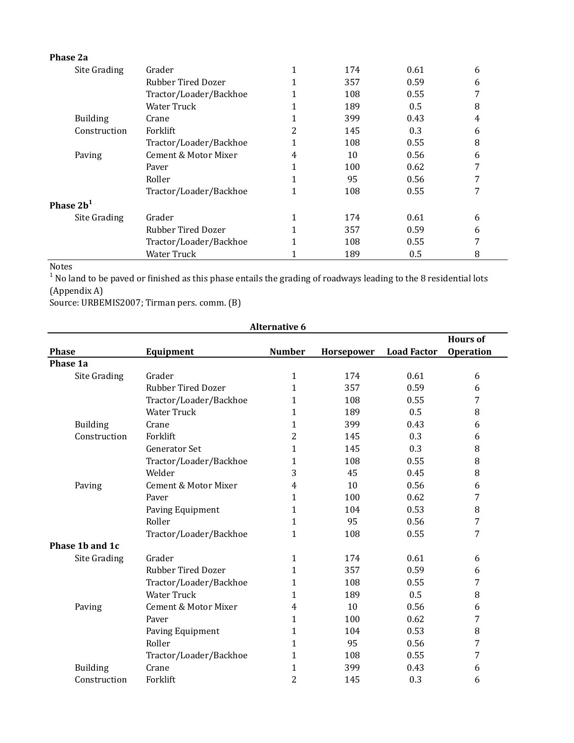| Phase 2a        |                        |   |     |      |   |
|-----------------|------------------------|---|-----|------|---|
| Site Grading    | Grader                 |   | 174 | 0.61 | 6 |
|                 | Rubber Tired Dozer     |   | 357 | 0.59 | 6 |
|                 | Tractor/Loader/Backhoe |   | 108 | 0.55 | 7 |
|                 | <b>Water Truck</b>     |   | 189 | 0.5  | 8 |
| <b>Building</b> | Crane                  |   | 399 | 0.43 | 4 |
| Construction    | Forklift               | 2 | 145 | 0.3  | 6 |
|                 | Tractor/Loader/Backhoe |   | 108 | 0.55 | 8 |
| Paving          | Cement & Motor Mixer   | 4 | 10  | 0.56 | 6 |
|                 | Paver                  |   | 100 | 0.62 | 7 |
|                 | Roller                 |   | 95  | 0.56 | 7 |
|                 | Tractor/Loader/Backhoe |   | 108 | 0.55 | 7 |
| Phase $2b^1$    |                        |   |     |      |   |
| Site Grading    | Grader                 |   | 174 | 0.61 | 6 |
|                 | Rubber Tired Dozer     |   | 357 | 0.59 | 6 |
|                 | Tractor/Loader/Backhoe |   | 108 | 0.55 | 7 |
|                 | Water Truck            |   | 189 | 0.5  | 8 |

Notes

<sup>1</sup> No land to be paved or finished as this phase entails the grading of roadways leading to the 8 residential lots (Appendix A)

Source: URBEMIS2007; Tirman pers. comm. (B)

| <b>Alternative 6</b> |                           |                |            |                    |                                     |  |  |
|----------------------|---------------------------|----------------|------------|--------------------|-------------------------------------|--|--|
| <b>Phase</b>         | Equipment                 | <b>Number</b>  | Horsepower | <b>Load Factor</b> | <b>Hours of</b><br><b>Operation</b> |  |  |
| Phase 1a             |                           |                |            |                    |                                     |  |  |
| Site Grading         | Grader                    | $\mathbf{1}$   | 174        | 0.61               | 6                                   |  |  |
|                      | <b>Rubber Tired Dozer</b> | $\mathbf{1}$   | 357        | 0.59               | 6                                   |  |  |
|                      | Tractor/Loader/Backhoe    | $\mathbf{1}$   | 108        | 0.55               | 7                                   |  |  |
|                      | <b>Water Truck</b>        | 1              | 189        | 0.5                | 8                                   |  |  |
| <b>Building</b>      | Crane                     | 1              | 399        | 0.43               | 6                                   |  |  |
| Construction         | Forklift                  | 2              | 145        | 0.3                | 6                                   |  |  |
|                      | <b>Generator Set</b>      | 1              | 145        | 0.3                | 8                                   |  |  |
|                      | Tractor/Loader/Backhoe    | $\mathbf{1}$   | 108        | 0.55               | 8                                   |  |  |
|                      | Welder                    | 3              | 45         | 0.45               | 8                                   |  |  |
| Paving               | Cement & Motor Mixer      | 4              | 10         | 0.56               | 6                                   |  |  |
|                      | Paver                     | 1              | 100        | 0.62               | 7                                   |  |  |
|                      | Paving Equipment          | 1              | 104        | 0.53               | 8                                   |  |  |
|                      | Roller                    | 1              | 95         | 0.56               | 7                                   |  |  |
|                      | Tractor/Loader/Backhoe    | $\mathbf{1}$   | 108        | 0.55               | 7                                   |  |  |
| Phase 1b and 1c      |                           |                |            |                    |                                     |  |  |
| Site Grading         | Grader                    | $\mathbf{1}$   | 174        | 0.61               | 6                                   |  |  |
|                      | <b>Rubber Tired Dozer</b> | 1              | 357        | 0.59               | 6                                   |  |  |
|                      | Tractor/Loader/Backhoe    | $\mathbf{1}$   | 108        | 0.55               | 7                                   |  |  |
|                      | <b>Water Truck</b>        | $\mathbf{1}$   | 189        | 0.5                | 8                                   |  |  |
| Paving               | Cement & Motor Mixer      | 4              | 10         | 0.56               | 6                                   |  |  |
|                      | Paver                     | $\mathbf{1}$   | 100        | 0.62               | 7                                   |  |  |
|                      | Paving Equipment          | $\mathbf{1}$   | 104        | 0.53               | 8                                   |  |  |
|                      | Roller                    | 1              | 95         | 0.56               | 7                                   |  |  |
|                      | Tractor/Loader/Backhoe    | $\mathbf{1}$   | 108        | 0.55               | 7                                   |  |  |
| <b>Building</b>      | Crane                     | $\mathbf{1}$   | 399        | 0.43               | 6                                   |  |  |
| Construction         | Forklift                  | $\overline{2}$ | 145        | 0.3                | 6                                   |  |  |